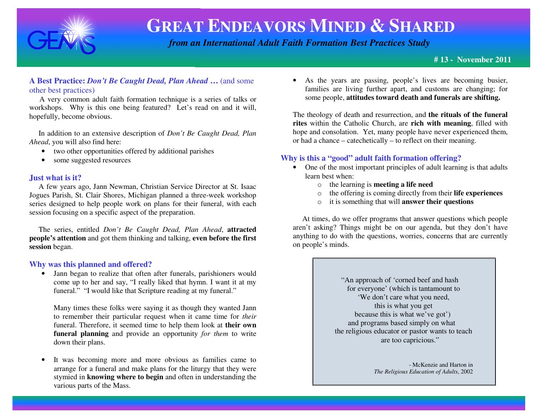

 *from an International Adult Faith Formation Best Practices Study*

#### **# 13 - November 2011**

#### **A Best Practice:** *Don't Be Caught Dead, Plan Ahead* **…** (and some other best practices)

 A very common adult faith formation technique is a series of talks or workshops. Why is this one being featured? Let's read on and it will, hopefully, become obvious.

 In addition to an extensive description of *Don't Be Caught Dead, PlanAhead*, you will also find here:

- two other opportunities offered by additional parishes
- some suggested resources

#### **Just what is it?**

 A few years ago, Jann Newman, Christian Service Director at St. Isaac Jogues Parish, St. Clair Shores, Michigan planned a three-week workshop series designed to help people work on plans for their funeral, with each session focusing on a specific aspect of the preparation.

 The series, entitled *Don't Be Caught Dead, Plan Ahead*, **attracted people's attention** and got them thinking and talking, **even before the first session** began.

#### **Why was this planned and offered?**

 • Jann began to realize that often after funerals, parishioners would come up to her and say, "I really liked that hymn. I want it at my funeral." "I would like that Scripture reading at my funeral."

Many times these folks were saying it as though they wanted Jann to remember their particular request when it came time for *their*  funeral. Therefore, it seemed time to help them look at **their own funeral planning** and provide an opportunity *for them* to write down their plans.

• It was becoming more and more obvious as families came to arrange for a funeral and make plans for the liturgy that they were stymied in **knowing where to begin** and often in understanding the various parts of the Mass.

• As the years are passing, people's lives are becoming busier, families are living further apart, and customs are changing; for some people, **attitudes toward death and funerals are shifting.**

The theology of death and resurrection, and **the rituals of the funeral rites** within the Catholic Church, are **rich with meaning**, filled with hope and consolation. Yet, many people have never experienced them, or had a chance – catechetically – to reflect on their meaning.

#### **Why is this a "good" adult faith formation offering?**

- One of the most important principles of adult learning is that adults learn best when:
	- o the learning is **meeting a life need**
	- o the offering is coming directly from their **life experiences**
	- o it is something that will **answer their questions**

 At times, do we offer programs that answer questions which people aren't asking? Things might be on our agenda, but they don't have anything to do with the questions, worries, concerns that are currently on people's minds.

> "An approach of 'corned beef and hash for everyone' (which is tantamount to 'We don't care what you need, this is what you get because this is what we've got') and programs based simply on what the religious educator or pastor wants to teach are too capricious."

> > - McKenzie and Harton in *The Religious Education of Adults*, 2002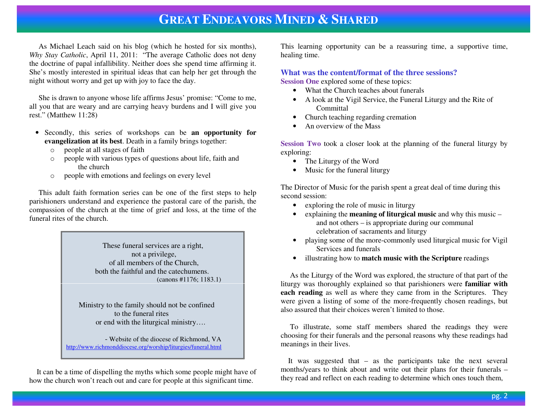As Michael Leach said on his blog (which he hosted for six months), *Why Stay Catholic*, April 11, 2011: "The average Catholic does not deny the doctrine of papal infallibility. Neither does she spend time affirming it. She's mostly interested in spiritual ideas that can help her get through the night without worry and get up with joy to face the day.

 She is drawn to anyone whose life affirms Jesus' promise: "Come to me, all you that are weary and are carrying heavy burdens and I will give you rest." (Matthew 11:28)

- Secondly, this series of workshops can be **an opportunity for evangelization at its best**. Death in a family brings together:
	- o people at all stages of faith
	- o people with various types of questions about life, faith and the church
	- o people with emotions and feelings on every level

 This adult faith formation series can be one of the first steps to help parishioners understand and experience the pastoral care of the parish, the compassion of the church at the time of grief and loss, at the time of the funeral rites of the church.

> These funeral services are a right, not a privilege, of all members of the Church, both the faithful and the catechumens. (canons #1176; 1183.1)

 Ministry to the family should not be confined to the funeral rites or end with the liturgical ministry….

 - Website of the diocese of Richmond, VA http://www.richmonddiocese.org/worship/liturgies/funeral.html

 It can be a time of dispelling the myths which some people might have of how the church won't reach out and care for people at this significant time.

This learning opportunity can be a reassuring time, a supportive time, healing time.

**What was the content/format of the three sessions?** 

**Session One** explored some of these topics:

- What the Church teaches about funerals
- A look at the Vigil Service, the Funeral Liturgy and the Rite of **Committal**
- Church teaching regarding cremation
- An overview of the Mass

**Session Two** took a closer look at the planning of the funeral liturgy by exploring:

- The Liturgy of the Word
- Music for the funeral liturgy

The Director of Music for the parish spent a great deal of time during this second session:

- exploring the role of music in liturgy
- explaining the **meaning of liturgical music** and why this music and not others – is appropriate during our communal celebration of sacraments and liturgy
- <sup>p</sup>laying some of the more-commonly used liturgical music for Vigil Services and funerals
- illustrating how to **match music with the Scripture** readings

 As the Liturgy of the Word was explored, the structure of that part of the liturgy was thoroughly explained so that parishioners were **familiar with each reading** as well as where they came from in the Scriptures. They were given a listing of some of the more-frequently chosen readings, but also assured that their choices weren't limited to those.

 To illustrate, some staff members shared the readings they were choosing for their funerals and the personal reasons why these readings had meanings in their lives.

 It was suggested that – as the participants take the next several months/years to think about and write out their plans for their funerals –they read and reflect on each reading to determine which ones touch them,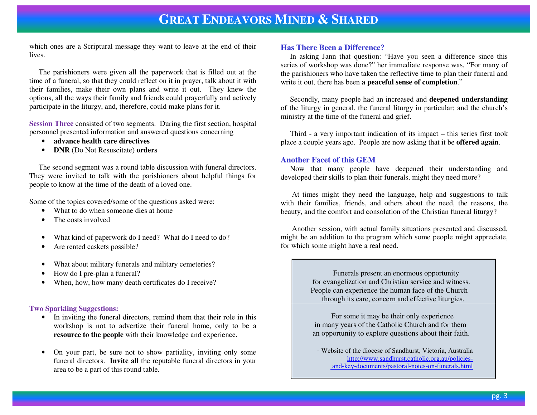which ones are a Scriptural message they want to leave at the end of their lives.

 The parishioners were given all the paperwork that is filled out at the time of a funeral, so that they could reflect on it in prayer, talk about it with their families, make their own plans and write it out. They knew the options, all the ways their family and friends could prayerfully and actively participate in the liturgy, and, therefore, could make plans for it.

**Session Three** consisted of two segments. During the first section, hospital personnel presented information and answered questions concerning

- **advance health care directives**
- **DNR** (Do Not Resuscitate) **orders**

 The second segment was a round table discussion with funeral directors. They were invited to talk with the parishioners about helpful things for people to know at the time of the death of a loved one.

Some of the topics covered/some of the questions asked were:

- •What to do when someone dies at home
- •The costs involved
- •What kind of paperwork do I need? What do I need to do?
- •Are rented caskets possible?
- •What about military funerals and military cemeteries?
- •How do I pre-plan a funeral?
- •When, how, how many death certificates do I receive?

#### **Two Sparkling Suggestions:**

- In inviting the funeral directors, remind them that their role in this workshop is not to advertize their funeral home, only to be a **resource to the people** with their knowledge and experience.
- • On your part, be sure not to show partiality, inviting only some funeral directors. **Invite all** the reputable funeral directors in your area to be a part of this round table.

#### **Has There Been a Difference?**

 In asking Jann that question: "Have you seen a difference since this series of workshop was done?" her immediate response was, "For many of the parishioners who have taken the reflective time to plan their funeral and write it out, there has been **a peaceful sense of completion**."

 Secondly, many people had an increased and **deepened understanding** of the liturgy in general, the funeral liturgy in particular; and the church's ministry at the time of the funeral and grief.

 Third - a very important indication of its impact – this series first took place a couple years ago. People are now asking that it be **offered again**.

#### **Another Facet of this GEM**

 Now that many people have deepened their understanding and developed their skills to plan their funerals, might they need more?

 At times might they need the language, help and suggestions to talk with their families, friends, and others about the need, the reasons, the beauty, and the comfort and consolation of the Christian funeral liturgy?

 Another session, with actual family situations presented and discussed, might be an addition to the program which some people might appreciate, for which some might have a real need.

> Funerals present an enormous opportunity for evangelization and Christian service and witness. People can experience the human face of the Church through its care, concern and effective liturgies.

> For some it may be their only experience in many years of the Catholic Church and for them an opportunity to explore questions about their faith.

 - Website of the diocese of Sandhurst, Victoria, Australia http://www.sandhurst.catholic.org.au/policies-and-key-documents/pastoral-notes-on-funerals.html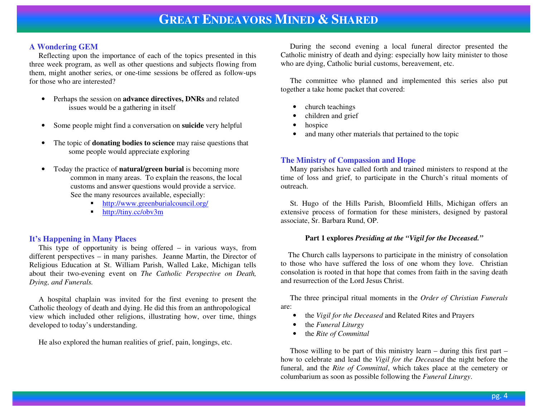#### **A Wondering GEM**

 Reflecting upon the importance of each of the topics presented in this three week program, as well as other questions and subjects flowing from them, might another series, or one-time sessions be offered as follow-ups for those who are interested?

- Perhaps the session on **advance directives, DNRs** and related issues would be a gathering in itself
- •Some people might find a conversation on **suicide** very helpful
- • The topic of **donating bodies to science** may raise questions that some people would appreciate exploring
- • Today the practice of **natural/green burial** is becoming more common in many areas. To explain the reasons, the local customs and answer questions would provide a service. See the many resources available, especially:
	- http://www.greenburialcouncil.org/ ■
	- http://tiny.cc/obv3m

#### **It's Happening in Many Places**

 This type of opportunity is being offered – in various ways, from different perspectives – in many parishes. Jeanne Martin, the Director of Religious Education at St. William Parish, Walled Lake, Michigan tells about their two-evening event on *The Catholic Perspective on Death, Dying, and Funerals.* 

 A hospital chaplain was invited for the first evening to present the Catholic theology of death and dying. He did this from an anthropological view which included other religions, illustrating how, over time, things developed to today's understanding.

He also explored the human realities of grief, pain, longings, etc.

 During the second evening a local funeral director presented the Catholic ministry of death and dying: especially how laity minister to those who are dying, Catholic burial customs, bereavement, etc.

 The committee who planned and implemented this series also put together a take home packet that covered:

- •church teachings
- •children and grief
- •hospice
- •and many other materials that pertained to the topic

#### **The Ministry of Compassion and Hope**

 Many parishes have called forth and trained ministers to respond at the time of loss and grief, to participate in the Church's ritual moments of outreach.

 St. Hugo of the Hills Parish, Bloomfield Hills, Michigan offers an extensive process of formation for these ministers, designed by pastoral associate, Sr. Barbara Rund, OP.

#### **Part 1 explores** *Presiding at the "Vigil for the Deceased."*

 The Church calls laypersons to participate in the ministry of consolation to those who have suffered the loss of one whom they love. Christian consolation is rooted in that hope that comes from faith in the saving death and resurrection of the Lord Jesus Christ.

 The three principal ritual moments in the *Order of Christian Funerals* are:

- •the *Vigil for the Deceased* and Related Rites and Prayers
- •the *Funeral Liturgy*
- •the *Rite of Committal*

 Those willing to be part of this ministry learn – during this first part – how to celebrate and lead the *Vigil for the Deceased* the night before the funeral, and the *Rite of Committal*, which takes place at the cemetery or columbarium as soon as possible following the *Funeral Liturgy*.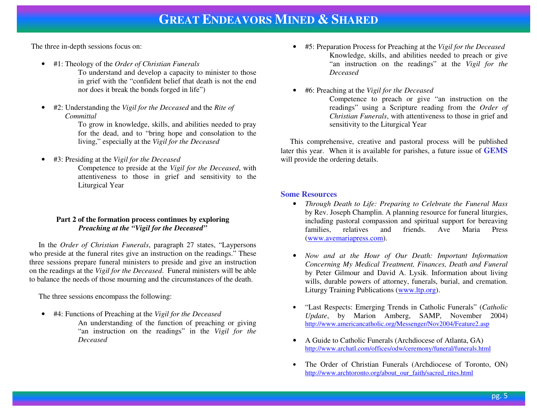The three in-depth sessions focus on:

- #1: Theology of the *Order of Christian Funerals* 
	- To understand and develop a capacity to minister to those in grief with the "confident belief that death is not the end nor does it break the bonds forged in life")
- • #2: Understanding the *Vigil for the Deceased* and the *Rite of Committal*

 To grow in knowledge, skills, and abilities needed to pray for the dead, and to "bring hope and consolation to the living," especially at the *Vigil for the Deceased*

•#3: Presiding at the *Vigil for the Deceased*

 Competence to preside at the *Vigil for the Deceased*, with attentiveness to those in grief and sensitivity to the Liturgical Year

#### **Part 2 of the formation process continues by exploring** *Preaching at the "Vigil for the Deceased"*

 In the *Order of Christian Funerals*, paragraph 27 states, "Laypersons who preside at the funeral rites give an instruction on the readings." These three sessions prepare funeral ministers to preside and give an instruction on the readings at the *Vigil for the Deceased*. Funeral ministers will be able to balance the needs of those mourning and the circumstances of the death.

The three sessions encompass the following:

- #4: Functions of Preaching at the *Vigil for the Deceased*
	- An understanding of the function of preaching or giving "an instruction on the readings" in the *Vigil for the Deceased*
- #5: Preparation Process for Preaching at the *Vigil for the Deceased* Knowledge, skills, and abilities needed to preach or give "an instruction on the readings" at the *Vigil for the Deceased*
- •#6: Preaching at the *Vigil for the Deceased*

 Competence to preach or give "an instruction on the readings" using a Scripture reading from the *Order of Christian Funerals*, with attentiveness to those in grief and sensitivity to the Liturgical Year

 This comprehensive, creative and pastoral process will be published later this year. When it is available for parishes, a future issue of **GEMS**will provide the ordering details.

#### **Some Resources**

- *Through Death to Life: Preparing to Celebrate the Funeral Mass* by Rev. Joseph Champlin. A planning resource for funeral liturgies, including pastoral compassion and spiritual support for bereaving families, relatives and friends. Ave Maria Press (www.avemariapress.com).
- *Now and at the Hour of Our Death: Important Information Concerning My Medical Treatment, Finances, Death and Funeral*  by Peter Gilmour and David A. Lysik. Information about living wills, durable powers of attorney, funerals, burial, and cremation. Liturgy Training Publications (www.ltp.org).
- • "Last Respects: Emerging Trends in Catholic Funerals" (*Catholic Update*, by Marion Amberg, SAMP, November 2004) http://www.americancatholic.org/Messenger/Nov2004/Feature2.asp
- • A Guide to Catholic Funerals (Archdiocese of Atlanta, GA) http://www.archatl.com/offices/odw/ceremony/funeral/funerals.html
- • The Order of Christian Funerals (Archdiocese of Toronto, ON) http://www.archtoronto.org/about\_our\_faith/sacred\_rites.html